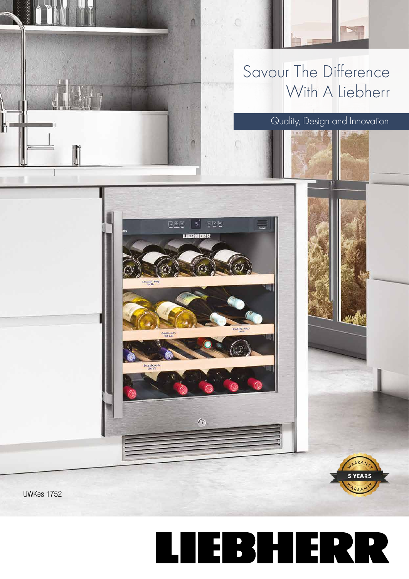

n

LIBBNIERK

 $\sqrt{2}$ 

Loudy Bay

assical<br>2012

## Quality, Design and Innovation

5 YEARS

**UWKes 1752**